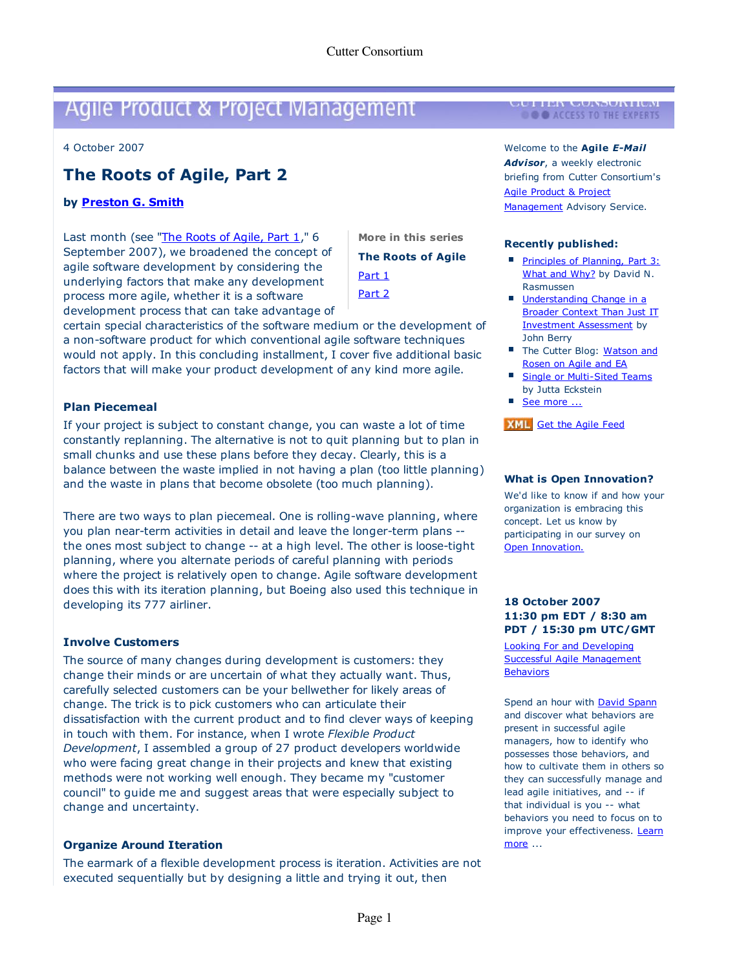# Agile Product & Project Management **I CULLER CONSORTIUM**

4 October 2007 4 October 2007

## **The Roots of Agile, Part 2 The Roots of Agile, Part 2**

#### **by Preston G. Smith by Preston G. Smith**

Last month (see "The Roots of Agile, Part 1," 6 **More in this series** September 2007), we broadened the concept of September 2007), we broadened the concept of agile software development by considering the agile software development by considering the underlying factors that make any development underlying factors that make any development process more agile, whether it is a software process more agile, whether it is a software development process that can take advantage of development process that can take advantage of

**The Roots of Agile The Roots of Agile** Part 1 Part 1 Part 2 Part 2 **More in this series**

certain special characteristics of the software medium or the development of certain special characteristics of the software medium or the development of a non-software product for which conventional agile software techniques a non-software product for which conventional agile software techniques would not apply. In this concluding installment, I cover five additional basic would not apply. In this concluding installment, I cover five additional basic factors that will make your product development of any kind more agile. factors that will make your product development of any kind more agile.

### **Plan Piecemeal Plan Piecemeal**

If your project is subject to constant change, you can waste a lot of time If your project is subject to constant change, you can waste a lot of time constantly replanning. The alternative is not to quit planning but to plan in constantly replanning. The alternative is not to quit planning but to plan in small chunks and use these plans before they decay. Clearly, this is a small chunks and use these plans before they decay. Clearly, this is a balance between the waste implied in not having a plan (too little planning balance between the waste implied in not having a plan (too little planning) and the waste in plans that become obsolete (too much planning). and the waste in plans that become obsolete (too much planning).

There are two ways to plan piecemeal. One is rolling-wave planning, where There are two ways to plan piecemeal. One is rolling-wave planning, where you plan near-term activities in detail and leave the longer-term plans -- you plan near-term activities in detail and leave the longer-term plans - the ones most subject to change -- at a high level. The other is loose-tight the ones most subject to change -- at a high level. The other is loose-tight planning, where you alternate periods of careful planning with periods planning, where you alternate periods of careful planning with periods where the project is relatively open to change. Agile software development where the project is relatively open to change. Agile software development does this with its iteration planning, but Boeing also used this technique in does this with its iteration planning, but Boeing also used this technique in developing its 777 airliner. developing its 777 airliner.

#### **Involve Customers Involve Customers**

The source of many changes during development is customers: they The source of many changes during development is customers: they change their minds or are uncertain of what they actually want. Thus, change their minds or are uncertain of what they actually want. Thus, carefully selected customers can be your bellwether for likely areas of carefully selected customers can be your bellwether for likely areas of change. The trick is to pick customers who can articulate their change. The trick is to pick customers who can articulate their dissatisfaction with the current product and to find clever ways of keeping dissatisfaction with the current product and to find clever ways of keeping in touch with them. For instance, when I wrote Flexible Product in touch with them. For instance, when I wrote *Flexible Product* Development, I assembled a group of 27 product developers worldwide *Development*, I assembled a group of 27 product developers worldwide who were facing great change in their projects and knew that existing who were facing great change in their projects and knew that existing methods were not working well enough. They became my "customer methods were not working well enough. They became my "customer council" to guide me and suggest areas that were especially subject to council" to guide me and suggest areas that were especially subject to change and uncertainty. change and uncertainty.

#### **Organize Around Iteration Organize Around Iteration**

The earmark of a flexible development process is iteration. Activities are not The earmark of a flexible development process is iteration. Activities are not executed sequentially but by designing a little and trying it out, then executed sequentially but by designing a little and trying it out, then

Welcome to the **Agile E-Mail**  Welcome to the **Agile** *E-Mail*

**Advisor,** a weekly electronic *Advisor*, a weekly electronic briefing from Cutter Consortium's briefing from Cutter Consortium's Agile Product & Project Agile Product & Project Management Advisory Service.

#### **Recently published: Recently published:**

- **Principles of Planning, Part 3:** What and Why? by David N. What and Why? by David N. Rasmussen Rasmussen
- **Understanding Change in a** Broader Context Than Just IT Broader Context Than Just IT Investment Assessment by John Berry John Berry
- The Cutter Blog: Watson and Rosen on Agile and EA Rosen on Agile and EA
- **Single or Multi-Sited Teams** by Jutta Eckstein by Jutta Eckstein
- See more ...

#### **EXML** Get the Agile Feed

#### **What is Open Innovation? What is Open Innovation?**

We'd like to know if and how your We'd like to know if and how your organization is embracing this organization is embracing this concept. Let us know by concept. Let us know by participating in our survey on participating in our survey on Open Innovation. Open Innovation.

#### **18 October 2007 18 October 2007 11:30 pm EDT / 8:30 am 11:30 pm EDT / 8:30 am PDT / 15:30 pm UTC/GMT PDT / 15:30 pm UTC/GMT**

Looking For and Developing Looking For and Developing Successful Agile Management Behaviors Behaviors

Spend an hour with **David Spann** and discover what behaviors are and discover what behaviors are present in successful agile present in successful agile managers, how to identify who managers, how to identify who possesses those behaviors, and possesses those behaviors, and how to cultivate them in others so how to cultivate them in others so they can successfully manage and they can successfully manage and lead agile initiatives, and -- if lead agile initiatives, and -- if that individual is you -- what that individual is you -- what behaviors you need to focus on to behaviors you need to focus on to improve your effectiveness. Learn more ... more ...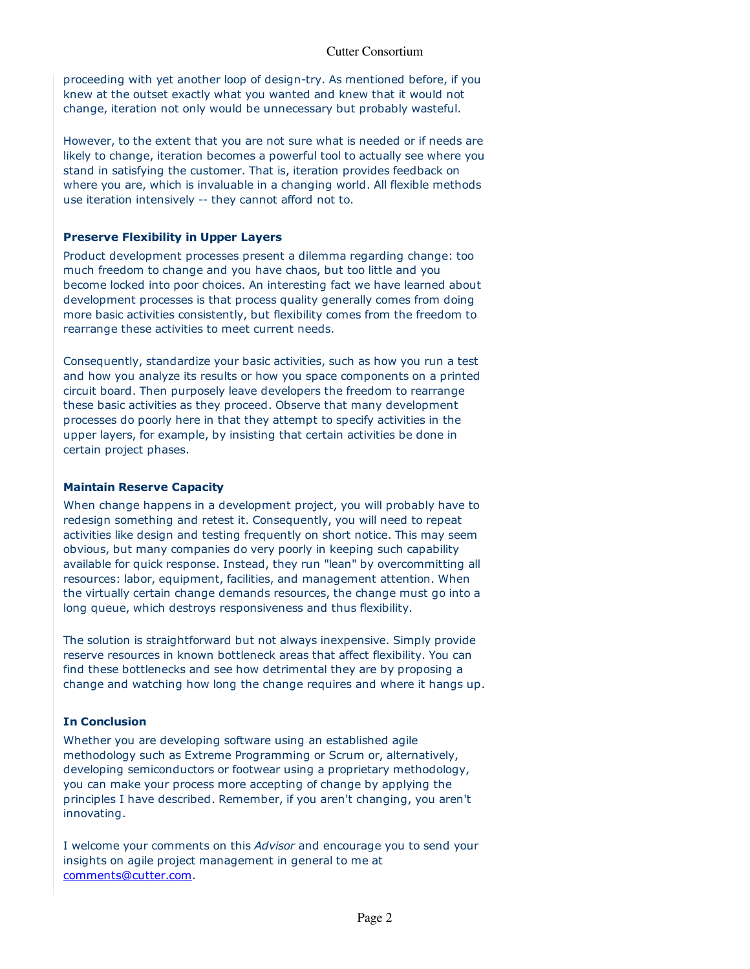proceeding with yet another loop of design-try. As mentioned before, if you proceeding with yet another loop of design-try. As mentioned before, if you knew at the outset exactly what you wanted and knew that it would not knew at the outset exactly what you wanted and knew that it would not change, iteration not only would be unnecessary but probably wasteful. change, iteration not only would be unnecessary but probably wasteful.

However, to the extent that you are not sure what is needed or if needs are However, to the extent that you are not sure what is needed or if needs are likely to change, iteration becomes a powerful tool to actually see where you likely to change, iteration becomes a powerful tool to actually see where you stand in satisfying the customer. That is, iteration provides feedback on stand in satisfying the customer. That is, iteration provides feedback on where you are, which is invaluable in a changing world. All flexible methods where you are, which is invaluable in a changing world. All flexible methods use iteration intensively -- they cannot afford not to. use iteration intensively -- they cannot afford not to.

#### **Preserve Flexibility in Upper Layers Preserve Flexibility in Upper Layers**

Product development processes present a dilemma regarding change: too Product development processes present a dilemma regarding change: too much freedom to change and you have chaos, but too little and you much freedom to change and you have chaos, but too little and you become locked into poor choices. An interesting fact we have learned about become locked into poor choices. An interesting fact we have learned about development processes is that process quality generally comes from doing development processes is that process quality generally comes from doing more basic activities consistently, but flexibility comes from the freedom to more basic activities consistently, but flexibility comes from the freedom to rearrange these activities to meet current needs. rearrange these activities to meet current needs.

Consequently, standardize your basic activities, such as how you run a test Consequently, standardize your basic activities, such as how you run a test and how you analyze its results or how you space components on a printed and how you analyze its results or how you space components on a printed circuit board. Then purposely leave developers the freedom to rearrange circuit board. Then purposely leave developers the freedom to rearrange these basic activities as they proceed. Observe that many development these basic activities as they proceed. Observe that many development processes do poorly here in that they attempt to specify activities in the processes do poorly here in that they attempt to specify activities in the upper layers, for example, by insisting that certain activities be done in upper layers, for example, by insisting that certain activities be done in certain project phases. certain project phases.

#### **Maintain Reserve Capacity Maintain Reserve Capacity**

When change happens in a development project, you will probably have to When change happens in a development project, you will probably have to redesign something and retest it. Consequently, you will need to repeat redesign something and retest it. Consequently, you will need to repeat activities like design and testing frequently on short notice. This may seem activities like design and testing frequently on short notice. This may seem obvious, but many companies do very poorly in keeping such capability obvious, but many companies do very poorly in keeping such capability available for quick response. Instead, they run "lean" by overcommitting all available for quick response. Instead, they run "lean" by overcommitting all resources: labor, equipment, facilities, and management attention. When resources: labor, equipment, facilities, and management attention. When the virtually certain change demands resources, the change must go into a the virtually certain change demands resources, the change must go into a long queue, which destroys responsiveness and thus flexibility. long queue, which destroys responsiveness and thus flexibility.

The solution is straightforward but not always inexpensive. Simply provide The solution is straightforward but not always inexpensive. Simply provide reserve resources in known bottleneck areas that affect flexibility. You can reserve resources in known bottleneck areas that affect flexibility. You can find these bottlenecks and see how detrimental they are by proposing a find these bottlenecks and see how detrimental they are by proposing a change and watching how long the change requires and where it hangs up. change and watching how long the change requires and where it hangs up.

### **In Conclusion In Conclusion**

Whether you are developing software using an established agile Whether you are developing software using an established agile methodology such as Extreme Programming or Scrum or, alternatively, methodology such as Extreme Programming or Scrum or, alternatively, developing semiconductors or footwear using a proprietary methodology, developing semiconductors or footwear using a proprietary methodology, you can make your process more accepting of change by applying the you can make your process more accepting of change by applying the principles I have described. Remember, if you aren't changing, you aren't principles I have described. Remember, if you aren't changing, you aren't innovating. innovating.

I welcome your comments on this Advisor and encourage you to send your I welcome your comments on this *Advisor* and encourage you to send your insights on agile project management in general to me at insights on agile project management in general to me at comments@cutter.com. comments@cutter.com.